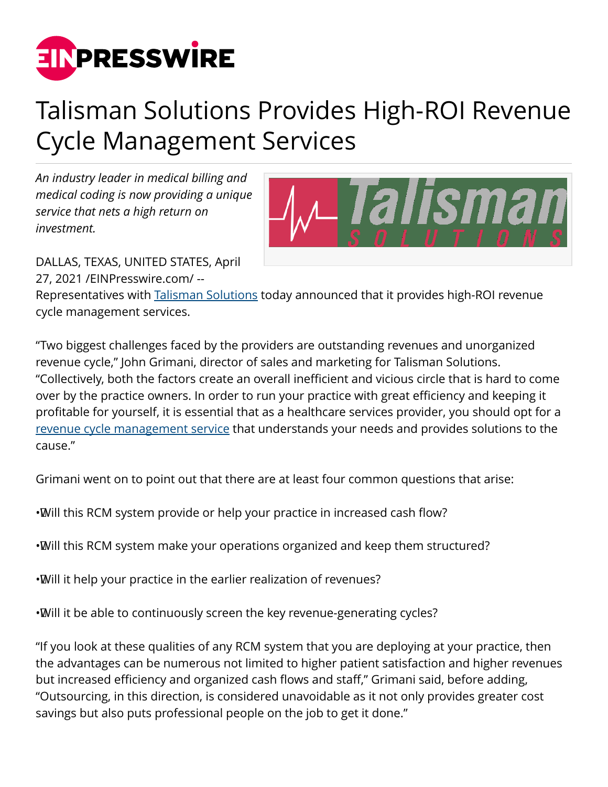

## Talisman Solutions Provides High-ROI Revenue Cycle Management Services

*An industry leader in medical billing and medical coding is now providing a unique service that nets a high return on investment.*



DALLAS, TEXAS, UNITED STATES, April 27, 2021 /[EINPresswire.com/](http://www.einpresswire.com) --

Representatives with [Talisman Solutions](https://talismansolutions.com/) today announced that it provides high-ROI revenue cycle management services.

"Two biggest challenges faced by the providers are outstanding revenues and unorganized revenue cycle," John Grimani, director of sales and marketing for Talisman Solutions. "Collectively, both the factors create an overall inefficient and vicious circle that is hard to come over by the practice owners. In order to run your practice with great efficiency and keeping it profitable for yourself, it is essential that as a healthcare services provider, you should opt for a [revenue cycle management service](https://talismansolutions.com/medical-billing/) that understands your needs and provides solutions to the cause."

Grimani went on to point out that there are at least four common questions that arise:

- • Will this RCM system provide or help your practice in increased cash flow?
- • Will this RCM system make your operations organized and keep them structured?
- • Will it help your practice in the earlier realization of revenues?
- • Will it be able to continuously screen the key revenue-generating cycles?

"If you look at these qualities of any RCM system that you are deploying at your practice, then the advantages can be numerous not limited to higher patient satisfaction and higher revenues but increased efficiency and organized cash flows and staff," Grimani said, before adding, "Outsourcing, in this direction, is considered unavoidable as it not only provides greater cost savings but also puts professional people on the job to get it done."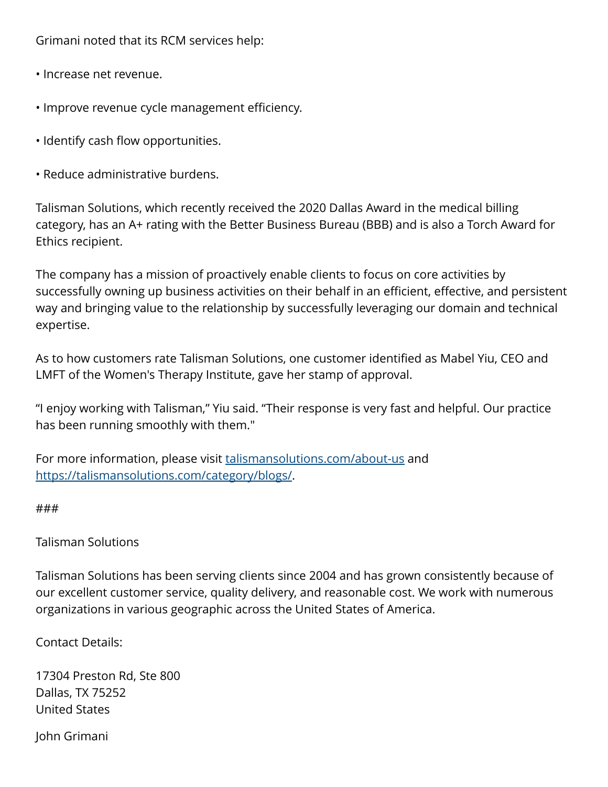Grimani noted that its RCM services help:

- Increase net revenue.
- Improve revenue cycle management efficiency.
- Identify cash flow opportunities.
- Reduce administrative burdens.

Talisman Solutions, which recently received the 2020 Dallas Award in the medical billing category, has an A+ rating with the Better Business Bureau (BBB) and is also a Torch Award for Ethics recipient.

The company has a mission of proactively enable clients to focus on core activities by successfully owning up business activities on their behalf in an efficient, effective, and persistent way and bringing value to the relationship by successfully leveraging our domain and technical expertise.

As to how customers rate Talisman Solutions, one customer identified as Mabel Yiu, CEO and LMFT of the Women's Therapy Institute, gave her stamp of approval.

"I enjoy working with Talisman," Yiu said. "Their response is very fast and helpful. Our practice has been running smoothly with them."

For more information, please visit [talismansolutions.com/about-us](https://talismansolutions.com/about-us/) and <https://talismansolutions.com/category/blogs/>.

###

## Talisman Solutions

Talisman Solutions has been serving clients since 2004 and has grown consistently because of our excellent customer service, quality delivery, and reasonable cost. We work with numerous organizations in various geographic across the United States of America.

Contact Details:

17304 Preston Rd, Ste 800 Dallas, TX 75252 United States

John Grimani